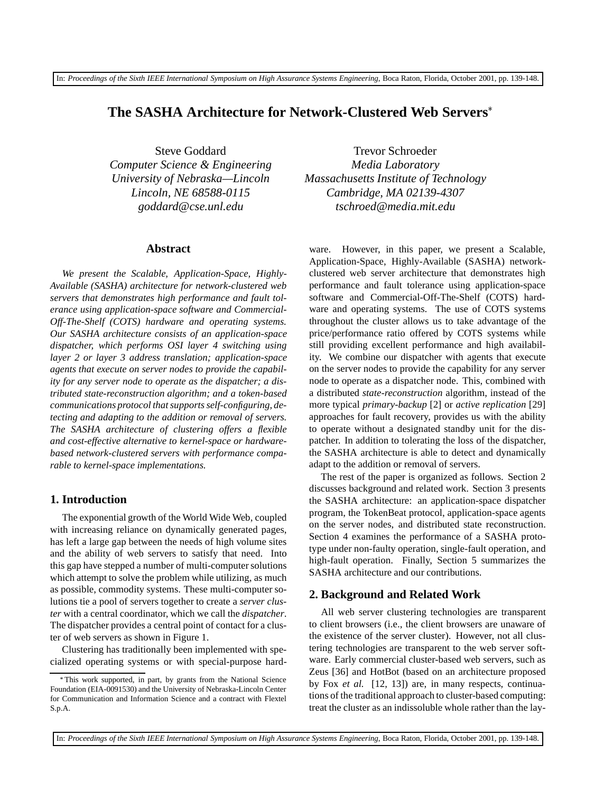# **The SASHA Architecture for Network-Clustered Web Servers**

Steve Goddard *Computer Science & Engineering University of Nebraska—Lincoln Lincoln, NE 68588-0115 goddard@cse.unl.edu*

### **Abstract**

*We present the Scalable, Application-Space, Highly-Available (SASHA) architecture for network-clustered web servers that demonstrates high performance and fault tolerance using application-space software and Commercial-Off-The-Shelf (COTS) hardware and operating systems. Our SASHA architecture consists of an application-space dispatcher, which performs OSI layer 4 switching using layer 2 or layer 3 address translation; application-space agents that execute on server nodes to provide the capability for any server node to operate as the dispatcher; a distributed state-reconstruction algorithm; and a token-based communications protocol that supports self-configuring, detecting and adapting to the addition or removal of servers. The SASHA architecture of clustering offers a flexible and cost-effective alternative to kernel-space or hardwarebased network-clustered servers with performance comparable to kernel-space implementations.*

### **1. Introduction**

The exponential growth of the World Wide Web, coupled with increasing reliance on dynamically generated pages, has left a large gap between the needs of high volume sites and the ability of web servers to satisfy that need. Into this gap have stepped a number of multi-computer solutions which attempt to solve the problem while utilizing, as much as possible, commodity systems. These multi-computer solutions tie a pool of servers together to create a *server cluster* with a central coordinator, which we call the *dispatcher*. The dispatcher provides a central point of contact for a cluster of web servers as shown in Figure 1.

Clustering has traditionally been implemented with specialized operating systems or with special-purpose hard-

Trevor Schroeder *Media Laboratory Massachusetts Institute of Technology Cambridge, MA 02139-4307 tschroed@media.mit.edu*

ware. However, in this paper, we present a Scalable, Application-Space, Highly-Available (SASHA) networkclustered web server architecture that demonstrates high performance and fault tolerance using application-space software and Commercial-Off-The-Shelf (COTS) hardware and operating systems. The use of COTS systems throughout the cluster allows us to take advantage of the price/performance ratio offered by COTS systems while still providing excellent performance and high availability. We combine our dispatcher with agents that execute on the server nodes to provide the capability for any server node to operate as a dispatcher node. This, combined with a distributed *state-reconstruction* algorithm, instead of the more typical *primary-backup* [2] or *active replication* [29] approaches for fault recovery, provides us with the ability to operate without a designated standby unit for the dispatcher. In addition to tolerating the loss of the dispatcher, the SASHA architecture is able to detect and dynamically adapt to the addition or removal of servers.

The rest of the paper is organized as follows. Section 2 discusses background and related work. Section 3 presents the SASHA architecture: an application-space dispatcher program, the TokenBeat protocol, application-space agents on the server nodes, and distributed state reconstruction. Section 4 examines the performance of a SASHA prototype under non-faulty operation, single-fault operation, and high-fault operation. Finally, Section 5 summarizes the SASHA architecture and our contributions.

# **2. Background and Related Work**

All web server clustering technologies are transparent to client browsers (i.e., the client browsers are unaware of the existence of the server cluster). However, not all clustering technologies are transparent to the web server software. Early commercial cluster-based web servers, such as Zeus [36] and HotBot (based on an architecture proposed by Fox *et al.* [12, 13]) are, in many respects, continuations of the traditional approach to cluster-based computing: treat the cluster as an indissoluble whole rather than the lay-

In: *Proceedings of the Sixth IEEE International Symposium on High Assurance Systems Engineering*, Boca Raton, Florida, October 2001, pp. 139-148.

This work supported, in part, by grants from the National Science Foundation (EIA-0091530) and the University of Nebraska-Lincoln Center for Communication and Information Science and a contract with Flextel S.p.A.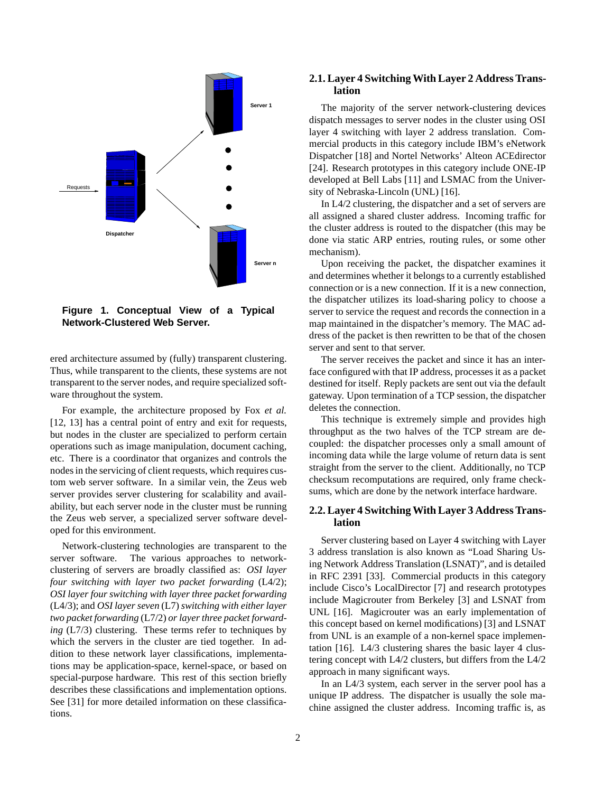

**Figure 1. Conceptual View of a Typical Network-Clustered Web Server.**

ered architecture assumed by (fully) transparent clustering. Thus, while transparent to the clients, these systems are not transparent to the server nodes, and require specialized software throughout the system.

For example, the architecture proposed by Fox *et al.* [12, 13] has a central point of entry and exit for requests, but nodes in the cluster are specialized to perform certain operations such as image manipulation, document caching, etc. There is a coordinator that organizes and controls the nodes in the servicing of client requests, which requires custom web server software. In a similar vein, the Zeus web server provides server clustering for scalability and availability, but each server node in the cluster must be running the Zeus web server, a specialized server software developed for this environment.

Network-clustering technologies are transparent to the server software. The various approaches to networkclustering of servers are broadly classified as: *OSI layer four switching with layer two packet forwarding* (L4/2); *OSI layer four switching with layer three packet forwarding* (L4/3); and *OSI layer seven* (L7) *switching with either layer two packet forwarding* (L7/2) *or layer three packet forwarding* (L7/3) clustering. These terms refer to techniques by which the servers in the cluster are tied together. In addition to these network layer classifications, implementations may be application-space, kernel-space, or based on special-purpose hardware. This rest of this section briefly describes these classifications and implementation options. See [31] for more detailed information on these classifications.

# **2.1. Layer 4 Switching With Layer 2 Address Translation**

The majority of the server network-clustering devices dispatch messages to server nodes in the cluster using OSI layer 4 switching with layer 2 address translation. Commercial products in this category include IBM's eNetwork Dispatcher [18] and Nortel Networks' Alteon ACEdirector [24]. Research prototypes in this category include ONE-IP developed at Bell Labs [11] and LSMAC from the University of Nebraska-Lincoln (UNL) [16].

In L4/2 clustering, the dispatcher and a set of servers are all assigned a shared cluster address. Incoming traffic for the cluster address is routed to the dispatcher (this may be done via static ARP entries, routing rules, or some other mechanism).

Upon receiving the packet, the dispatcher examines it and determines whether it belongs to a currently established connection or is a new connection. If it is a new connection, the dispatcher utilizes its load-sharing policy to choose a server to service the request and records the connection in a map maintained in the dispatcher's memory. The MAC address of the packet is then rewritten to be that of the chosen server and sent to that server.

The server receives the packet and since it has an interface configured with that IP address, processes it as a packet destined for itself. Reply packets are sent out via the default gateway. Upon termination of a TCP session, the dispatcher deletes the connection.

This technique is extremely simple and provides high throughput as the two halves of the TCP stream are decoupled: the dispatcher processes only a small amount of incoming data while the large volume of return data is sent straight from the server to the client. Additionally, no TCP checksum recomputations are required, only frame checksums, which are done by the network interface hardware.

# **2.2. Layer 4 Switching With Layer 3 Address Translation**

Server clustering based on Layer 4 switching with Layer 3 address translation is also known as "Load Sharing Using Network Address Translation (LSNAT)", and is detailed in RFC 2391 [33]. Commercial products in this category include Cisco's LocalDirector [7] and research prototypes include Magicrouter from Berkeley [3] and LSNAT from UNL [16]. Magicrouter was an early implementation of this concept based on kernel modifications) [3] and LSNAT from UNL is an example of a non-kernel space implementation [16]. L4/3 clustering shares the basic layer 4 clustering concept with L4/2 clusters, but differs from the L4/2 approach in many significant ways.

In an L4/3 system, each server in the server pool has a unique IP address. The dispatcher is usually the sole machine assigned the cluster address. Incoming traffic is, as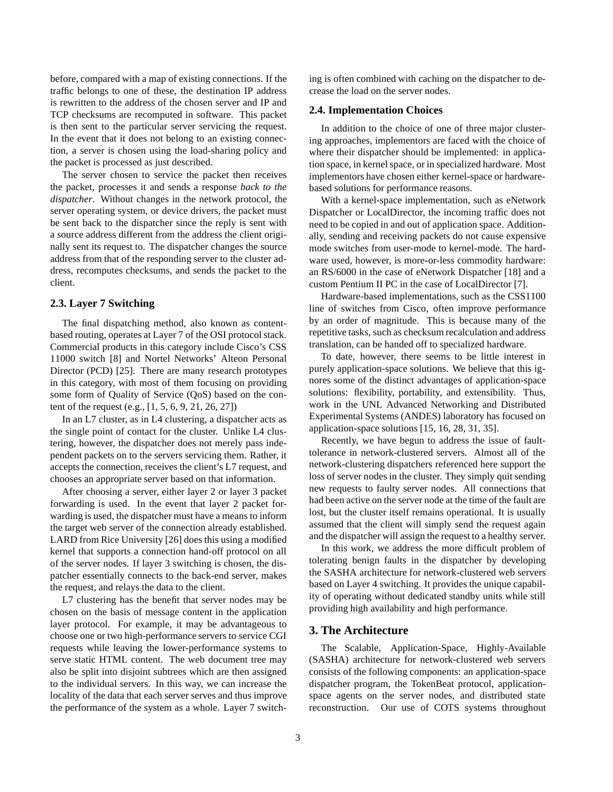before, compared with a map of existing connections. If the traffic belongs to one of these, the destination IP address is rewritten to the address of the chosen server and IP and TCP checksums are recomputed in software. This packet is then sent to the particular server servicing the request. In the event that it does not belong to an existing connection, a server is chosen using the load-sharing policy and the packet is processed as just described.

The server chosen to service the packet then receives the packet, processes it and sends a response *back to the dispatcher*. Without changes in the network protocol, the server operating system, or device drivers, the packet must be sent back to the dispatcher since the reply is sent with a source address different from the address the client originally sent its request to. The dispatcher changes the source address from that of the responding server to the cluster address, recomputes checksums, and sends the packet to the client.

### **2.3. Layer 7 Switching**

The final dispatching method, also known as contentbased routing, operates at Layer 7 of the OSI protocol stack. Commercial products in this category include Cisco's CSS 11000 switch [8] and Nortel Networks' Alteon Personal Director (PCD) [25]. There are many research prototypes in this category, with most of them focusing on providing some form of Quality of Service (QoS) based on the content of the request (e.g., [1, 5, 6, 9, 21, 26, 27])

In an L7 cluster, as in L4 clustering, a dispatcher acts as the single point of contact for the cluster. Unlike L4 clustering, however, the dispatcher does not merely pass independent packets on to the servers servicing them. Rather, it accepts the connection, receives the client's L7 request, and chooses an appropriate server based on that information.

After choosing a server, either layer 2 or layer 3 packet forwarding is used. In the event that layer 2 packet forwarding is used, the dispatcher must have a means to inform the target web server of the connection already established. LARD from Rice University [26] does this using a modified kernel that supports a connection hand-off protocol on all of the server nodes. If layer 3 switching is chosen, the dispatcher essentially connects to the back-end server, makes the request, and relays the data to the client.

L7 clustering has the benefit that server nodes may be chosen on the basis of message content in the application layer protocol. For example, it may be advantageous to choose one or two high-performance servers to service CGI requests while leaving the lower-performance systems to serve static HTML content. The web document tree may also be split into disjoint subtrees which are then assigned to the individual servers. In this way, we can increase the locality of the data that each server serves and thus improve the performance of the system as a whole. Layer 7 switching is often combined with caching on the dispatcher to decrease the load on the server nodes.

#### **2.4. Implementation Choices**

In addition to the choice of one of three major clustering approaches, implementors are faced with the choice of where their dispatcher should be implemented: in application space, in kernel space, or in specialized hardware. Most implementors have chosen either kernel-space or hardwarebased solutions for performance reasons.

With a kernel-space implementation, such as eNetwork Dispatcher or LocalDirector, the incoming traffic does not need to be copied in and out of application space. Additionally, sending and receiving packets do not cause expensive mode switches from user-mode to kernel-mode. The hardware used, however, is more-or-less commodity hardware: an RS/6000 in the case of eNetwork Dispatcher [18] and a custom Pentium II PC in the case of LocalDirector [7].

Hardware-based implementations, such as the CSS1100 line of switches from Cisco, often improve performance by an order of magnitude. This is because many of the repetitive tasks, such as checksum recalculation and address translation, can be handed off to specialized hardware.

To date, however, there seems to be little interest in purely application-space solutions. We believe that this ignores some of the distinct advantages of application-space solutions: flexibility, portability, and extensibility. Thus, work in the UNL Advanced Networking and Distributed Experimental Systems (ANDES) laboratory has focused on application-space solutions [15, 16, 28, 31, 35].

Recently, we have begun to address the issue of faulttolerance in network-clustered servers. Almost all of the network-clustering dispatchers referenced here support the loss of server nodes in the cluster. They simply quit sending new requests to faulty server nodes. All connections that had been active on the server node at the time of the fault are lost, but the cluster itself remains operational. It is usually assumed that the client will simply send the request again and the dispatcher will assign the request to a healthy server.

In this work, we address the more difficult problem of tolerating benign faults in the dispatcher by developing the SASHA architecture for network-clustered web servers based on Layer 4 switching. It provides the unique capability of operating without dedicated standby units while still providing high availability and high performance.

### **3. The Architecture**

The Scalable, Application-Space, Highly-Available (SASHA) architecture for network-clustered web servers consists of the following components: an application-space dispatcher program, the TokenBeat protocol, applicationspace agents on the server nodes, and distributed state reconstruction. Our use of COTS systems throughout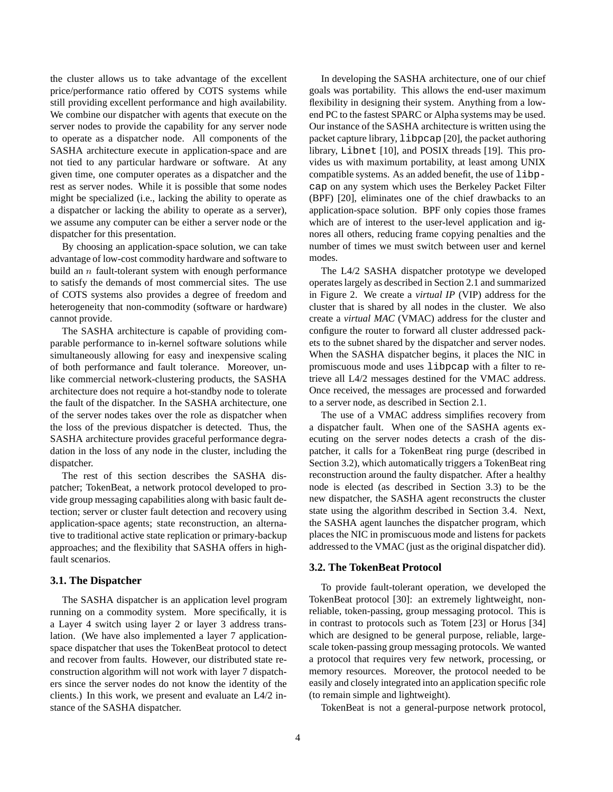the cluster allows us to take advantage of the excellent price/performance ratio offered by COTS systems while still providing excellent performance and high availability. We combine our dispatcher with agents that execute on the server nodes to provide the capability for any server node to operate as a dispatcher node. All components of the SASHA architecture execute in application-space and are not tied to any particular hardware or software. At any given time, one computer operates as a dispatcher and the rest as server nodes. While it is possible that some nodes might be specialized (i.e., lacking the ability to operate as a dispatcher or lacking the ability to operate as a server), we assume any computer can be either a server node or the dispatcher for this presentation.

By choosing an application-space solution, we can take advantage of low-cost commodity hardware and software to build an *n* fault-tolerant system with enough performance to satisfy the demands of most commercial sites. The use of COTS systems also provides a degree of freedom and heterogeneity that non-commodity (software or hardware) cannot provide.

The SASHA architecture is capable of providing comparable performance to in-kernel software solutions while simultaneously allowing for easy and inexpensive scaling of both performance and fault tolerance. Moreover, unlike commercial network-clustering products, the SASHA architecture does not require a hot-standby node to tolerate the fault of the dispatcher. In the SASHA architecture, one of the server nodes takes over the role as dispatcher when the loss of the previous dispatcher is detected. Thus, the SASHA architecture provides graceful performance degradation in the loss of any node in the cluster, including the dispatcher.

The rest of this section describes the SASHA dispatcher; TokenBeat, a network protocol developed to provide group messaging capabilities along with basic fault detection; server or cluster fault detection and recovery using application-space agents; state reconstruction, an alternative to traditional active state replication or primary-backup approaches; and the flexibility that SASHA offers in highfault scenarios.

### **3.1. The Dispatcher**

The SASHA dispatcher is an application level program running on a commodity system. More specifically, it is a Layer 4 switch using layer 2 or layer 3 address translation. (We have also implemented a layer 7 applicationspace dispatcher that uses the TokenBeat protocol to detect and recover from faults. However, our distributed state reconstruction algorithm will not work with layer 7 dispatchers since the server nodes do not know the identity of the clients.) In this work, we present and evaluate an L4/2 instance of the SASHA dispatcher.

In developing the SASHA architecture, one of our chief goals was portability. This allows the end-user maximum flexibility in designing their system. Anything from a lowend PC to the fastest SPARC or Alpha systems may be used. Our instance of the SASHA architecture is written using the packet capture library, libpcap [20], the packet authoring library, Libnet [10], and POSIX threads [19]. This provides us with maximum portability, at least among UNIX compatible systems. As an added benefit, the use of libpcap on any system which uses the Berkeley Packet Filter (BPF) [20], eliminates one of the chief drawbacks to an application-space solution. BPF only copies those frames which are of interest to the user-level application and ignores all others, reducing frame copying penalties and the number of times we must switch between user and kernel modes.

The L4/2 SASHA dispatcher prototype we developed operates largely as described in Section 2.1 and summarized in Figure 2. We create a *virtual IP* (VIP) address for the cluster that is shared by all nodes in the cluster. We also create a *virtual MAC* (VMAC) address for the cluster and configure the router to forward all cluster addressed packets to the subnet shared by the dispatcher and server nodes. When the SASHA dispatcher begins, it places the NIC in promiscuous mode and uses libpcap with a filter to retrieve all L4/2 messages destined for the VMAC address. Once received, the messages are processed and forwarded to a server node, as described in Section 2.1.

The use of a VMAC address simplifies recovery from a dispatcher fault. When one of the SASHA agents executing on the server nodes detects a crash of the dispatcher, it calls for a TokenBeat ring purge (described in Section 3.2), which automatically triggers a TokenBeat ring reconstruction around the faulty dispatcher. After a healthy node is elected (as described in Section 3.3) to be the new dispatcher, the SASHA agent reconstructs the cluster state using the algorithm described in Section 3.4. Next, the SASHA agent launches the dispatcher program, which places the NIC in promiscuous mode and listens for packets addressed to the VMAC (just as the original dispatcher did).

### **3.2. The TokenBeat Protocol**

To provide fault-tolerant operation, we developed the TokenBeat protocol [30]: an extremely lightweight, nonreliable, token-passing, group messaging protocol. This is in contrast to protocols such as Totem [23] or Horus [34] which are designed to be general purpose, reliable, largescale token-passing group messaging protocols. We wanted a protocol that requires very few network, processing, or memory resources. Moreover, the protocol needed to be easily and closely integrated into an application specific role (to remain simple and lightweight).

TokenBeat is not a general-purpose network protocol,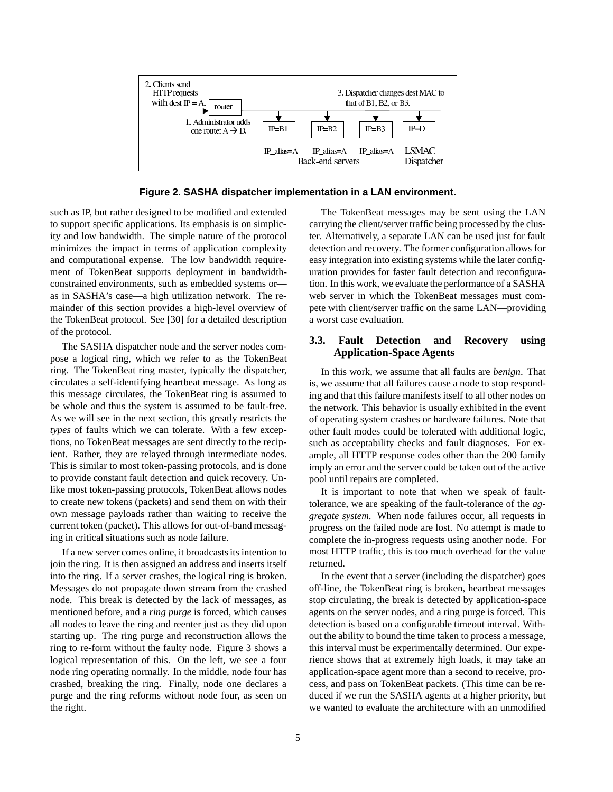

**Figure 2. SASHA dispatcher implementation in a LAN environment.**

such as IP, but rather designed to be modified and extended to support specific applications. Its emphasis is on simplicity and low bandwidth. The simple nature of the protocol minimizes the impact in terms of application complexity and computational expense. The low bandwidth requirement of TokenBeat supports deployment in bandwidthconstrained environments, such as embedded systems or as in SASHA's case—a high utilization network. The remainder of this section provides a high-level overview of the TokenBeat protocol. See [30] for a detailed description of the protocol.

The SASHA dispatcher node and the server nodes compose a logical ring, which we refer to as the TokenBeat ring. The TokenBeat ring master, typically the dispatcher, circulates a self-identifying heartbeat message. As long as this message circulates, the TokenBeat ring is assumed to be whole and thus the system is assumed to be fault-free. As we will see in the next section, this greatly restricts the *types* of faults which we can tolerate. With a few exceptions, no TokenBeat messages are sent directly to the recipient. Rather, they are relayed through intermediate nodes. This is similar to most token-passing protocols, and is done to provide constant fault detection and quick recovery. Unlike most token-passing protocols, TokenBeat allows nodes to create new tokens (packets) and send them on with their own message payloads rather than waiting to receive the current token (packet). This allows for out-of-band messaging in critical situations such as node failure.

If a new server comes online, it broadcasts its intention to join the ring. It is then assigned an address and inserts itself into the ring. If a server crashes, the logical ring is broken. Messages do not propagate down stream from the crashed node. This break is detected by the lack of messages, as mentioned before, and a *ring purge* is forced, which causes all nodes to leave the ring and reenter just as they did upon starting up. The ring purge and reconstruction allows the ring to re-form without the faulty node. Figure 3 shows a logical representation of this. On the left, we see a four node ring operating normally. In the middle, node four has crashed, breaking the ring. Finally, node one declares a purge and the ring reforms without node four, as seen on the right.

The TokenBeat messages may be sent using the LAN carrying the client/server traffic being processed by the cluster. Alternatively, a separate LAN can be used just for fault detection and recovery. The former configuration allows for easy integration into existing systems while the later configuration provides for faster fault detection and reconfiguration. In this work, we evaluate the performance of a SASHA web server in which the TokenBeat messages must compete with client/server traffic on the same LAN—providing a worst case evaluation.

# **3.3. Fault Detection and Recovery using Application-Space Agents**

In this work, we assume that all faults are *benign*. That is, we assume that all failures cause a node to stop responding and that this failure manifests itself to all other nodes on the network. This behavior is usually exhibited in the event of operating system crashes or hardware failures. Note that other fault modes could be tolerated with additional logic, such as acceptability checks and fault diagnoses. For example, all HTTP response codes other than the 200 family imply an error and the server could be taken out of the active pool until repairs are completed.

It is important to note that when we speak of faulttolerance, we are speaking of the fault-tolerance of the *aggregate system*. When node failures occur, all requests in progress on the failed node are lost. No attempt is made to complete the in-progress requests using another node. For most HTTP traffic, this is too much overhead for the value returned.

In the event that a server (including the dispatcher) goes off-line, the TokenBeat ring is broken, heartbeat messages stop circulating, the break is detected by application-space agents on the server nodes, and a ring purge is forced. This detection is based on a configurable timeout interval. Without the ability to bound the time taken to process a message, this interval must be experimentally determined. Our experience shows that at extremely high loads, it may take an application-space agent more than a second to receive, process, and pass on TokenBeat packets. (This time can be reduced if we run the SASHA agents at a higher priority, but we wanted to evaluate the architecture with an unmodified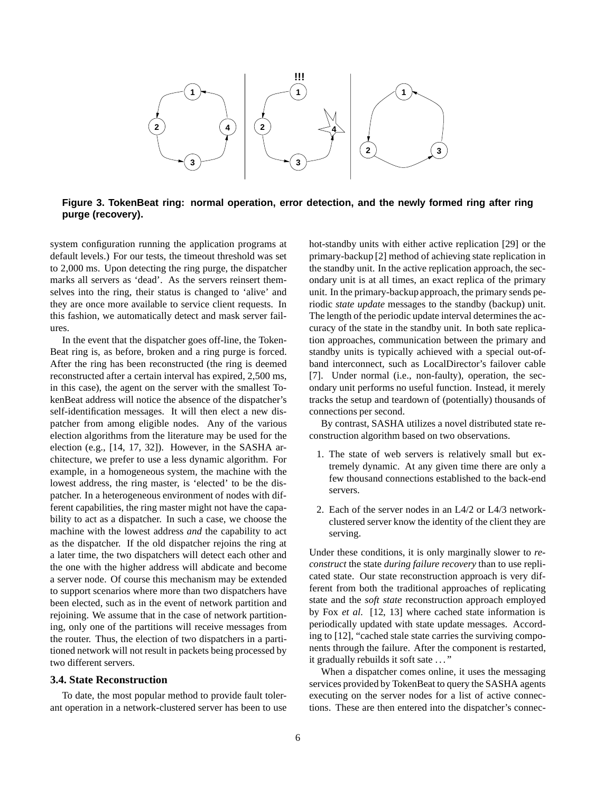

**Figure 3. TokenBeat ring: normal operation, error detection, and the newly formed ring after ring purge (recovery).**

system configuration running the application programs at default levels.) For our tests, the timeout threshold was set to 2,000 ms. Upon detecting the ring purge, the dispatcher marks all servers as 'dead'. As the servers reinsert themselves into the ring, their status is changed to 'alive' and they are once more available to service client requests. In this fashion, we automatically detect and mask server failures.

In the event that the dispatcher goes off-line, the Token-Beat ring is, as before, broken and a ring purge is forced. After the ring has been reconstructed (the ring is deemed reconstructed after a certain interval has expired, 2,500 ms, in this case), the agent on the server with the smallest TokenBeat address will notice the absence of the dispatcher's self-identification messages. It will then elect a new dispatcher from among eligible nodes. Any of the various election algorithms from the literature may be used for the election (e.g., [14, 17, 32]). However, in the SASHA architecture, we prefer to use a less dynamic algorithm. For example, in a homogeneous system, the machine with the lowest address, the ring master, is 'elected' to be the dispatcher. In a heterogeneous environment of nodes with different capabilities, the ring master might not have the capability to act as a dispatcher. In such a case, we choose the machine with the lowest address *and* the capability to act as the dispatcher. If the old dispatcher rejoins the ring at a later time, the two dispatchers will detect each other and the one with the higher address will abdicate and become a server node. Of course this mechanism may be extended to support scenarios where more than two dispatchers have been elected, such as in the event of network partition and rejoining. We assume that in the case of network partitioning, only one of the partitions will receive messages from the router. Thus, the election of two dispatchers in a partitioned network will not result in packets being processed by two different servers.

#### **3.4. State Reconstruction**

To date, the most popular method to provide fault tolerant operation in a network-clustered server has been to use hot-standby units with either active replication [29] or the primary-backup [2] method of achieving state replication in the standby unit. In the active replication approach, the secondary unit is at all times, an exact replica of the primary unit. In the primary-backup approach, the primary sends periodic *state update* messages to the standby (backup) unit. The length of the periodic update interval determines the accuracy of the state in the standby unit. In both sate replication approaches, communication between the primary and standby units is typically achieved with a special out-ofband interconnect, such as LocalDirector's failover cable [7]. Under normal (i.e., non-faulty), operation, the secondary unit performs no useful function. Instead, it merely tracks the setup and teardown of (potentially) thousands of connections per second.

By contrast, SASHA utilizes a novel distributed state reconstruction algorithm based on two observations.

- 1. The state of web servers is relatively small but extremely dynamic. At any given time there are only a few thousand connections established to the back-end servers.
- 2. Each of the server nodes in an L4/2 or L4/3 networkclustered server know the identity of the client they are serving.

Under these conditions, it is only marginally slower to *reconstruct* the state *during failure recovery* than to use replicated state. Our state reconstruction approach is very different from both the traditional approaches of replicating state and the *soft state* reconstruction approach employed by Fox *et al.* [12, 13] where cached state information is periodically updated with state update messages. According to [12], "cached stale state carries the surviving components through the failure. After the component is restarted, it gradually rebuilds it soft sate . . . "

When a dispatcher comes online, it uses the messaging services provided by TokenBeat to query the SASHA agents executing on the server nodes for a list of active connections. These are then entered into the dispatcher's connec-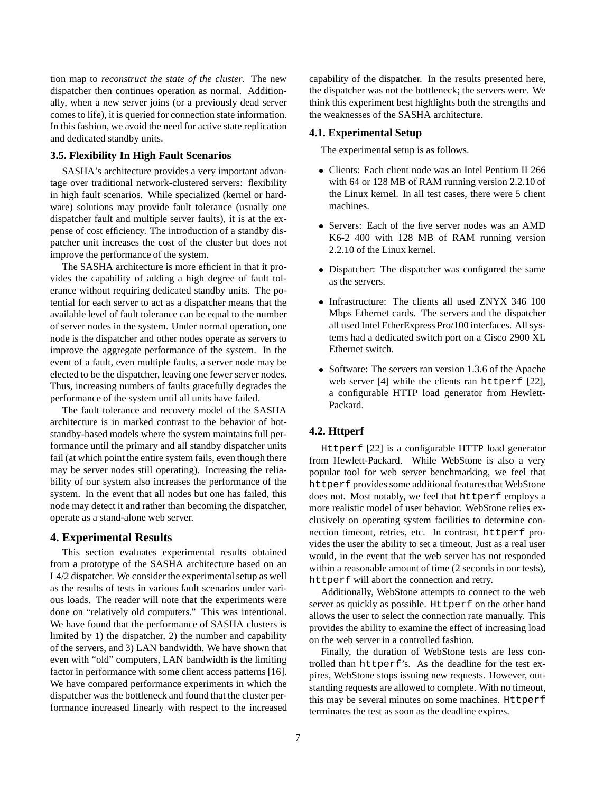tion map to *reconstruct the state of the cluster*. The new dispatcher then continues operation as normal. Additionally, when a new server joins (or a previously dead server comes to life), it is queried for connection state information. In this fashion, we avoid the need for active state replication and dedicated standby units.

### **3.5. Flexibility In High Fault Scenarios**

SASHA's architecture provides a very important advantage over traditional network-clustered servers: flexibility in high fault scenarios. While specialized (kernel or hardware) solutions may provide fault tolerance (usually one dispatcher fault and multiple server faults), it is at the expense of cost efficiency. The introduction of a standby dispatcher unit increases the cost of the cluster but does not improve the performance of the system.

The SASHA architecture is more efficient in that it provides the capability of adding a high degree of fault tolerance without requiring dedicated standby units. The potential for each server to act as a dispatcher means that the available level of fault tolerance can be equal to the number of server nodes in the system. Under normal operation, one node is the dispatcher and other nodes operate as servers to improve the aggregate performance of the system. In the event of a fault, even multiple faults, a server node may be elected to be the dispatcher, leaving one fewer server nodes. Thus, increasing numbers of faults gracefully degrades the performance of the system until all units have failed.

The fault tolerance and recovery model of the SASHA architecture is in marked contrast to the behavior of hotstandby-based models where the system maintains full performance until the primary and all standby dispatcher units fail (at which point the entire system fails, even though there may be server nodes still operating). Increasing the reliability of our system also increases the performance of the system. In the event that all nodes but one has failed, this node may detect it and rather than becoming the dispatcher, operate as a stand-alone web server.

### **4. Experimental Results**

This section evaluates experimental results obtained from a prototype of the SASHA architecture based on an L4/2 dispatcher. We consider the experimental setup as well as the results of tests in various fault scenarios under various loads. The reader will note that the experiments were done on "relatively old computers." This was intentional. We have found that the performance of SASHA clusters is limited by 1) the dispatcher, 2) the number and capability of the servers, and 3) LAN bandwidth. We have shown that even with "old" computers, LAN bandwidth is the limiting factor in performance with some client access patterns [16]. We have compared performance experiments in which the dispatcher was the bottleneck and found that the cluster performance increased linearly with respect to the increased capability of the dispatcher. In the results presented here, the dispatcher was not the bottleneck; the servers were. We think this experiment best highlights both the strengths and the weaknesses of the SASHA architecture.

#### **4.1. Experimental Setup**

The experimental setup is as follows.

- Clients: Each client node was an Intel Pentium II 266 with 64 or 128 MB of RAM running version 2.2.10 of the Linux kernel. In all test cases, there were 5 client machines.
- Servers: Each of the five server nodes was an AMD K6-2 400 with 128 MB of RAM running version 2.2.10 of the Linux kernel.
- Dispatcher: The dispatcher was configured the same as the servers.
- Infrastructure: The clients all used ZNYX 346 100 Mbps Ethernet cards. The servers and the dispatcher all used Intel EtherExpress Pro/100 interfaces. All systems had a dedicated switch port on a Cisco 2900 XL Ethernet switch.
- Software: The servers ran version 1.3.6 of the Apache web server [4] while the clients ran httperf [22], a configurable HTTP load generator from Hewlett-Packard.

### **4.2. Httperf**

Httperf [22] is a configurable HTTP load generator from Hewlett-Packard. While WebStone is also a very popular tool for web server benchmarking, we feel that httperf provides some additional features that WebStone does not. Most notably, we feel that httperf employs a more realistic model of user behavior. WebStone relies exclusively on operating system facilities to determine connection timeout, retries, etc. In contrast, httperf provides the user the ability to set a timeout. Just as a real user would, in the event that the web server has not responded within a reasonable amount of time (2 seconds in our tests), httperf will abort the connection and retry.

Additionally, WebStone attempts to connect to the web server as quickly as possible. Httperf on the other hand allows the user to select the connection rate manually. This provides the ability to examine the effect of increasing load on the web server in a controlled fashion.

Finally, the duration of WebStone tests are less controlled than httperf's. As the deadline for the test expires, WebStone stops issuing new requests. However, outstanding requests are allowed to complete. With no timeout, this may be several minutes on some machines. Httperf terminates the test as soon as the deadline expires.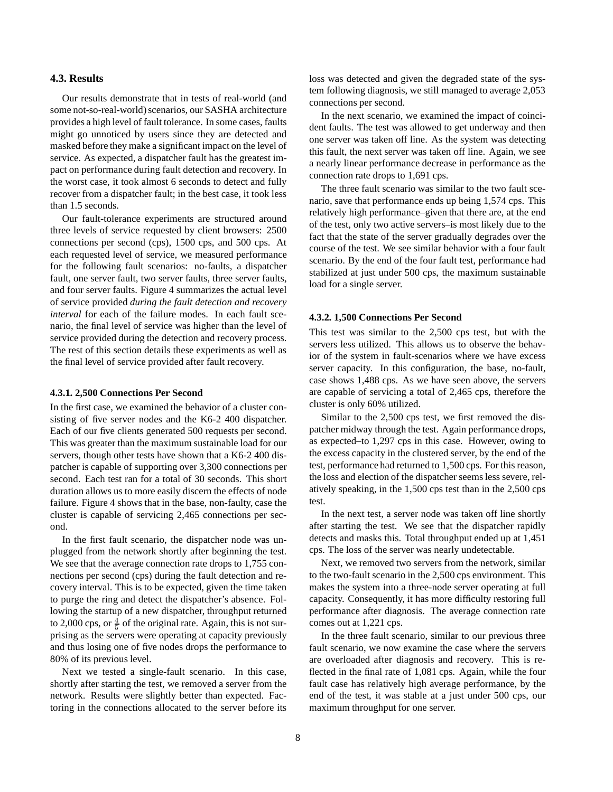## **4.3. Results**

Our results demonstrate that in tests of real-world (and some not-so-real-world) scenarios, our SASHA architecture provides a high level of fault tolerance. In some cases, faults might go unnoticed by users since they are detected and masked before they make a significant impact on the level of service. As expected, a dispatcher fault has the greatest impact on performance during fault detection and recovery. In the worst case, it took almost 6 seconds to detect and fully recover from a dispatcher fault; in the best case, it took less than 1.5 seconds.

Our fault-tolerance experiments are structured around three levels of service requested by client browsers: 2500 connections per second (cps), 1500 cps, and 500 cps. At each requested level of service, we measured performance for the following fault scenarios: no-faults, a dispatcher fault, one server fault, two server faults, three server faults, and four server faults. Figure 4 summarizes the actual level of service provided *during the fault detection and recovery interval* for each of the failure modes. In each fault scenario, the final level of service was higher than the level of service provided during the detection and recovery process. The rest of this section details these experiments as well as the final level of service provided after fault recovery.

#### **4.3.1. 2,500 Connections Per Second**

In the first case, we examined the behavior of a cluster consisting of five server nodes and the K6-2 400 dispatcher. Each of our five clients generated 500 requests per second. This was greater than the maximum sustainable load for our servers, though other tests have shown that a K6-2 400 dispatcher is capable of supporting over 3,300 connections per second. Each test ran for a total of 30 seconds. This short duration allows us to more easily discern the effects of node failure. Figure 4 shows that in the base, non-faulty, case the cluster is capable of servicing 2,465 connections per second.

In the first fault scenario, the dispatcher node was unplugged from the network shortly after beginning the test. We see that the average connection rate drops to 1,755 connections per second (cps) during the fault detection and recovery interval. This is to be expected, given the time taken to purge the ring and detect the dispatcher's absence. Following the startup of a new dispatcher, throughput returned to 2,000 cps, or  $\frac{4}{5}$  of the original rate. Again, this is not surprising as the servers were operating at capacity previously and thus losing one of five nodes drops the performance to 80% of its previous level.

Next we tested a single-fault scenario. In this case, shortly after starting the test, we removed a server from the network. Results were slightly better than expected. Factoring in the connections allocated to the server before its

loss was detected and given the degraded state of the system following diagnosis, we still managed to average 2,053 connections per second.

In the next scenario, we examined the impact of coincident faults. The test was allowed to get underway and then one server was taken off line. As the system was detecting this fault, the next server was taken off line. Again, we see a nearly linear performance decrease in performance as the connection rate drops to 1,691 cps.

The three fault scenario was similar to the two fault scenario, save that performance ends up being 1,574 cps. This relatively high performance–given that there are, at the end of the test, only two active servers–is most likely due to the fact that the state of the server gradually degrades over the course of the test. We see similar behavior with a four fault scenario. By the end of the four fault test, performance had stabilized at just under 500 cps, the maximum sustainable load for a single server.

#### **4.3.2. 1,500 Connections Per Second**

This test was similar to the 2,500 cps test, but with the servers less utilized. This allows us to observe the behavior of the system in fault-scenarios where we have excess server capacity. In this configuration, the base, no-fault, case shows 1,488 cps. As we have seen above, the servers are capable of servicing a total of 2,465 cps, therefore the cluster is only 60% utilized.

Similar to the 2,500 cps test, we first removed the dispatcher midway through the test. Again performance drops, as expected–to 1,297 cps in this case. However, owing to the excess capacity in the clustered server, by the end of the test, performance had returned to 1,500 cps. For this reason, the loss and election of the dispatcher seems less severe, relatively speaking, in the 1,500 cps test than in the 2,500 cps test.

In the next test, a server node was taken off line shortly after starting the test. We see that the dispatcher rapidly detects and masks this. Total throughput ended up at 1,451 cps. The loss of the server was nearly undetectable.

Next, we removed two servers from the network, similar to the two-fault scenario in the 2,500 cps environment. This makes the system into a three-node server operating at full capacity. Consequently, it has more difficulty restoring full performance after diagnosis. The average connection rate comes out at 1,221 cps.

In the three fault scenario, similar to our previous three fault scenario, we now examine the case where the servers are overloaded after diagnosis and recovery. This is reflected in the final rate of 1,081 cps. Again, while the four fault case has relatively high average performance, by the end of the test, it was stable at a just under 500 cps, our maximum throughput for one server.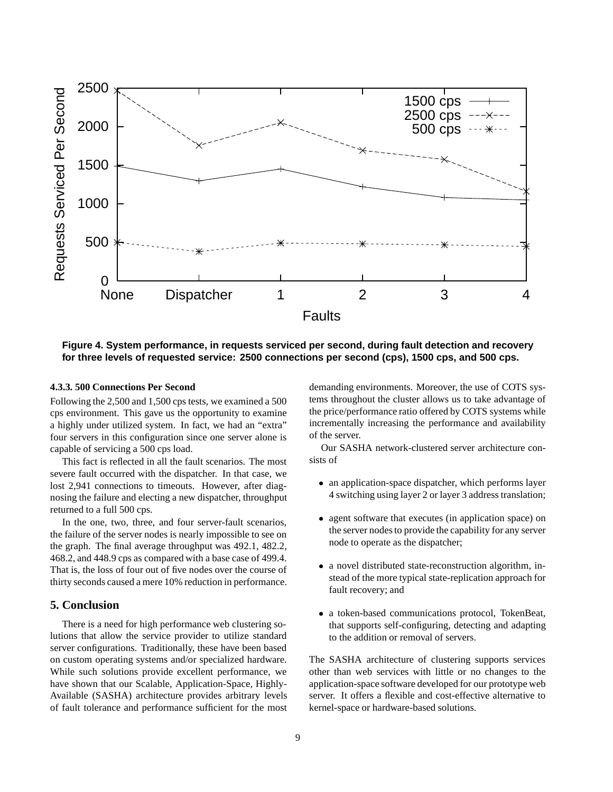

**Figure 4. System performance, in requests serviced per second, during fault detection and recovery for three levels of requested service: 2500 connections per second (cps), 1500 cps, and 500 cps.**

#### **4.3.3. 500 Connections Per Second**

Following the 2,500 and 1,500 cps tests, we examined a 500 cps environment. This gave us the opportunity to examine a highly under utilized system. In fact, we had an "extra" four servers in this configuration since one server alone is capable of servicing a 500 cps load.

This fact is reflected in all the fault scenarios. The most severe fault occurred with the dispatcher. In that case, we lost 2,941 connections to timeouts. However, after diagnosing the failure and electing a new dispatcher, throughput returned to a full 500 cps.

In the one, two, three, and four server-fault scenarios, the failure of the server nodes is nearly impossible to see on the graph. The final average throughput was 492.1, 482.2, 468.2, and 448.9 cps as compared with a base case of 499.4. That is, the loss of four out of five nodes over the course of thirty seconds caused a mere 10% reduction in performance.

# **5. Conclusion**

There is a need for high performance web clustering solutions that allow the service provider to utilize standard server configurations. Traditionally, these have been based on custom operating systems and/or specialized hardware. While such solutions provide excellent performance, we have shown that our Scalable, Application-Space, Highly-Available (SASHA) architecture provides arbitrary levels of fault tolerance and performance sufficient for the most

demanding environments. Moreover, the use of COTS systems throughout the cluster allows us to take advantage of the price/performance ratio offered by COTS systems while incrementally increasing the performance and availability of the server.

Our SASHA network-clustered server architecture consists of

- an application-space dispatcher, which performs layer 4 switching using layer 2 or layer 3 address translation;
- agent software that executes (in application space) on the server nodes to provide the capability for any server node to operate as the dispatcher;
- a novel distributed state-reconstruction algorithm, instead of the more typical state-replication approach for fault recovery; and
- a token-based communications protocol, TokenBeat, that supports self-configuring, detecting and adapting to the addition or removal of servers.

The SASHA architecture of clustering supports services other than web services with little or no changes to the application-space software developed for our prototype web server. It offers a flexible and cost-effective alternative to kernel-space or hardware-based solutions.